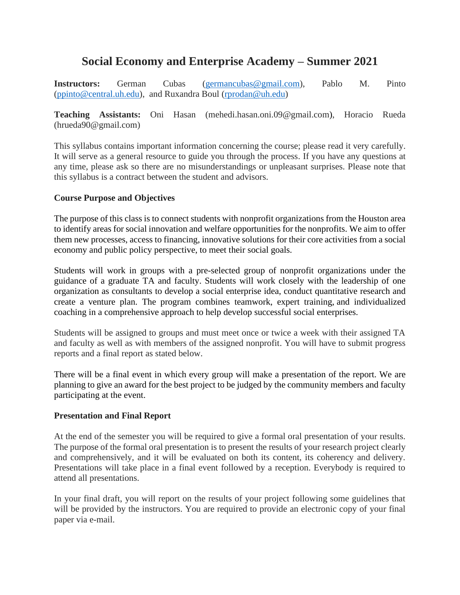# **Social Economy and Enterprise Academy – Summer 2021**

**Instructors:** German Cubas [\(germancubas@gmail.com\)](mailto:germancubas@gmail.com), Pablo M. Pinto [\(ppinto@central.uh.edu\)](mailto:ppinto@central.uh.edu), and Ruxandra Boul [\(rprodan@uh.edu\)](mailto:rprodan@uh.edu)

**Teaching Assistants:** Oni Hasan (mehedi.hasan.oni.09@gmail.com), Horacio Rueda (hrueda90@gmail.com)

This syllabus contains important information concerning the course; please read it very carefully. It will serve as a general resource to guide you through the process. If you have any questions at any time, please ask so there are no misunderstandings or unpleasant surprises. Please note that this syllabus is a contract between the student and advisors.

## **Course Purpose and Objectives**

The purpose of this class is to connect students with nonprofit organizations from the Houston area to identify areas for social innovation and welfare opportunities for the nonprofits. We aim to offer them new processes, access to financing, innovative solutions for their core activities from a social economy and public policy perspective, to meet their social goals.

Students will work in groups with a pre-selected group of nonprofit organizations under the guidance of a graduate TA and faculty. Students will work closely with the leadership of one organization as consultants to develop a social enterprise idea, conduct quantitative research and create a venture plan. The program combines teamwork, expert training, and individualized coaching in a comprehensive approach to help develop successful social enterprises.

Students will be assigned to groups and must meet once or twice a week with their assigned TA and faculty as well as with members of the assigned nonprofit. You will have to submit progress reports and a final report as stated below.

There will be a final event in which every group will make a presentation of the report. We are planning to give an award for the best project to be judged by the community members and faculty participating at the event.

#### **Presentation and Final Report**

At the end of the semester you will be required to give a formal oral presentation of your results. The purpose of the formal oral presentation is to present the results of your research project clearly and comprehensively, and it will be evaluated on both its content, its coherency and delivery. Presentations will take place in a final event followed by a reception. Everybody is required to attend all presentations.

In your final draft, you will report on the results of your project following some guidelines that will be provided by the instructors. You are required to provide an electronic copy of your final paper via e-mail.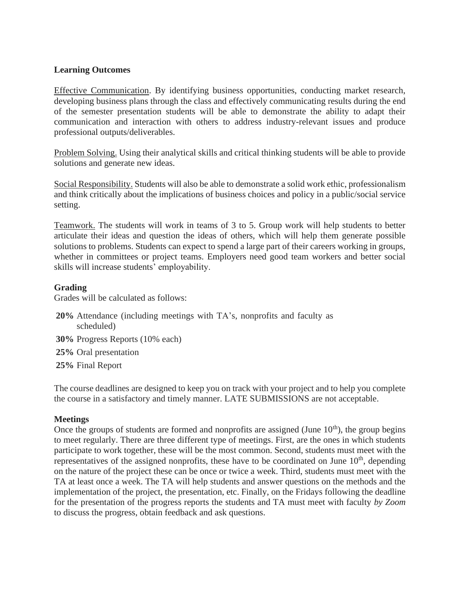### **Learning Outcomes**

Effective Communication. By identifying business opportunities, conducting market research, developing business plans through the class and effectively communicating results during the end of the semester presentation students will be able to demonstrate the ability to adapt their communication and interaction with others to address industry-relevant issues and produce professional outputs/deliverables.

Problem Solving. Using their analytical skills and critical thinking students will be able to provide solutions and generate new ideas.

Social Responsibility. Students will also be able to demonstrate a solid work ethic, professionalism and think critically about the implications of business choices and policy in a public/social service setting.

Teamwork. The students will work in teams of 3 to 5. Group work will help students to better articulate their ideas and question the ideas of others, which will help them generate possible solutions to problems. Students can expect to spend a large part of their careers working in groups, whether in committees or project teams. Employers need good team workers and better social skills will increase students' employability.

#### **Grading**

Grades will be calculated as follows:

- **20%** Attendance (including meetings with TA's, nonprofits and faculty as scheduled)
- **30%** Progress Reports (10% each)
- **25%** Oral presentation
- **25%** Final Report

The course deadlines are designed to keep you on track with your project and to help you complete the course in a satisfactory and timely manner. LATE SUBMISSIONS are not acceptable.

#### **Meetings**

Once the groups of students are formed and nonprofits are assigned (June  $10<sup>th</sup>$ ), the group begins to meet regularly. There are three different type of meetings. First, are the ones in which students participate to work together, these will be the most common. Second, students must meet with the representatives of the assigned nonprofits, these have to be coordinated on June  $10<sup>th</sup>$ , depending on the nature of the project these can be once or twice a week. Third, students must meet with the TA at least once a week. The TA will help students and answer questions on the methods and the implementation of the project, the presentation, etc. Finally, on the Fridays following the deadline for the presentation of the progress reports the students and TA must meet with faculty *by Zoom* to discuss the progress, obtain feedback and ask questions.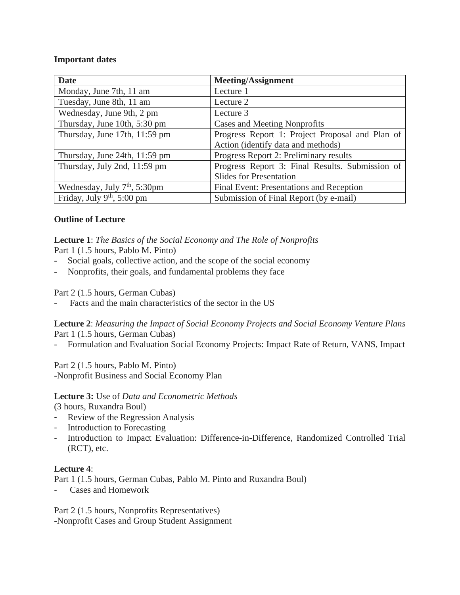#### **Important dates**

| <b>Date</b>                            | <b>Meeting/Assignment</b>                       |
|----------------------------------------|-------------------------------------------------|
| Monday, June 7th, 11 am                | Lecture 1                                       |
| Tuesday, June 8th, 11 am               | Lecture 2                                       |
| Wednesday, June 9th, 2 pm              | Lecture 3                                       |
| Thursday, June 10th, 5:30 pm           | Cases and Meeting Nonprofits                    |
| Thursday, June 17th, 11:59 pm          | Progress Report 1: Project Proposal and Plan of |
|                                        | Action (identify data and methods)              |
| Thursday, June 24th, 11:59 pm          | Progress Report 2: Preliminary results          |
| Thursday, July 2nd, 11:59 pm           | Progress Report 3: Final Results. Submission of |
|                                        | <b>Slides for Presentation</b>                  |
| Wednesday, July $7th$ , 5:30pm         | Final Event: Presentations and Reception        |
| Friday, July 9 <sup>th</sup> , 5:00 pm | Submission of Final Report (by e-mail)          |

## **Outline of Lecture**

**Lecture 1**: *The Basics of the Social Economy and The Role of Nonprofits* Part 1 (1.5 hours, Pablo M. Pinto)

- Social goals, collective action, and the scope of the social economy
- Nonprofits, their goals, and fundamental problems they face

Part 2 (1.5 hours, German Cubas)

- Facts and the main characteristics of the sector in the US

**Lecture 2**: *Measuring the Impact of Social Economy Projects and Social Economy Venture Plans* Part 1 (1.5 hours, German Cubas)

- Formulation and Evaluation Social Economy Projects: Impact Rate of Return, VANS, Impact

Part 2 (1.5 hours, Pablo M. Pinto) -Nonprofit Business and Social Economy Plan

## **Lecture 3:** Use of *Data and Econometric Methods*

(3 hours, Ruxandra Boul)

- Review of the Regression Analysis
- Introduction to Forecasting
- Introduction to Impact Evaluation: Difference-in-Difference, Randomized Controlled Trial (RCT), etc.

#### **Lecture 4**:

Part 1 (1.5 hours, German Cubas, Pablo M. Pinto and Ruxandra Boul)

- Cases and Homework

Part 2 (1.5 hours, Nonprofits Representatives) -Nonprofit Cases and Group Student Assignment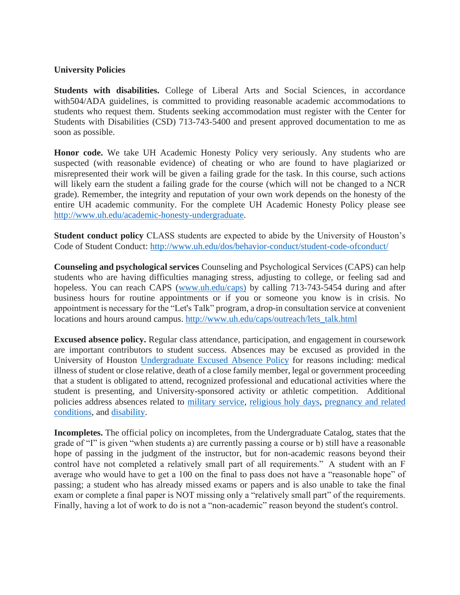#### **University Policies**

**Students with disabilities.** College of Liberal Arts and Social Sciences, in accordance with504/ADA guidelines, is committed to providing reasonable academic accommodations to students who request them. Students seeking accommodation must register with the Center for Students with Disabilities (CSD) 713-743-5400 and present approved documentation to me as soon as possible.

**Honor code.** We take UH Academic Honesty Policy very seriously. Any students who are suspected (with reasonable evidence) of cheating or who are found to have plagiarized or misrepresented their work will be given a failing grade for the task. In this course, such actions will likely earn the student a failing grade for the course (which will not be changed to a NCR grade). Remember, the integrity and reputation of your own work depends on the honesty of the entire UH academic community. For the complete UH Academic Honesty Policy please see [http://www.uh.edu/academic-honesty-undergraduate.](http://www.uh.edu/academic-honesty-undergraduate)

**Student conduct policy** CLASS students are expected to abide by the University of Houston's Code of Student Conduct:<http://www.uh.edu/dos/behavior-conduct/student-code-ofconduct/>

**Counseling and psychological services** Counseling and Psychological Services (CAPS) can help students who are having difficulties managing stress, adjusting to college, or feeling sad and hopeless. You can reach CAPS [\(www.uh.edu/caps\)](http://www.uh.edu/caps)) by calling 713-743-5454 during and after business hours for routine appointments or if you or someone you know is in crisis. No appointment is necessary for the "Let's Talk" program, a drop-in consultation service at convenient locations and hours around campus. [http://www.uh.edu/caps/outreach/lets\\_talk.html](http://www.uh.edu/caps/outreach/lets_talk.html) 

**Excused absence policy.** Regular class attendance, participation, and engagement in coursework are important contributors to student success. Absences may be excused as provided in the University of Houston [Undergraduate Excused Absence Policy](http://catalog.uh.edu/content.php?catoid=36&navoid=13956) for reasons including: medical illness of student or close relative, death of a close family member, legal or government proceeding that a student is obligated to attend, recognized professional and educational activities where the student is presenting, and University-sponsored activity or athletic competition. Additional policies address absences related to [military service,](http://publications.uh.edu/content.php?catoid=34&navoid=12714) [religious holy days,](http://publications.uh.edu/content.php?catoid=34&navoid=12495) [pregnancy and related](https://uhsystem.edu/compliance-ethics/_docs/sam/01/1d7.pdf)  [conditions,](https://uhsystem.edu/compliance-ethics/_docs/sam/01/1d7.pdf) and [disability.](https://uhsystem.edu/compliance-ethics/_docs/sam/01/1d9.pdf)

**Incompletes.** The official policy on incompletes, from the Undergraduate Catalog, states that the grade of "I" is given "when students a) are currently passing a course or b) still have a reasonable hope of passing in the judgment of the instructor, but for non-academic reasons beyond their control have not completed a relatively small part of all requirements."  A student with an F average who would have to get a 100 on the final to pass does not have a "reasonable hope" of passing; a student who has already missed exams or papers and is also unable to take the final exam or complete a final paper is NOT missing only a "relatively small part" of the requirements. Finally, having a lot of work to do is not a "non-academic" reason beyond the student's control.